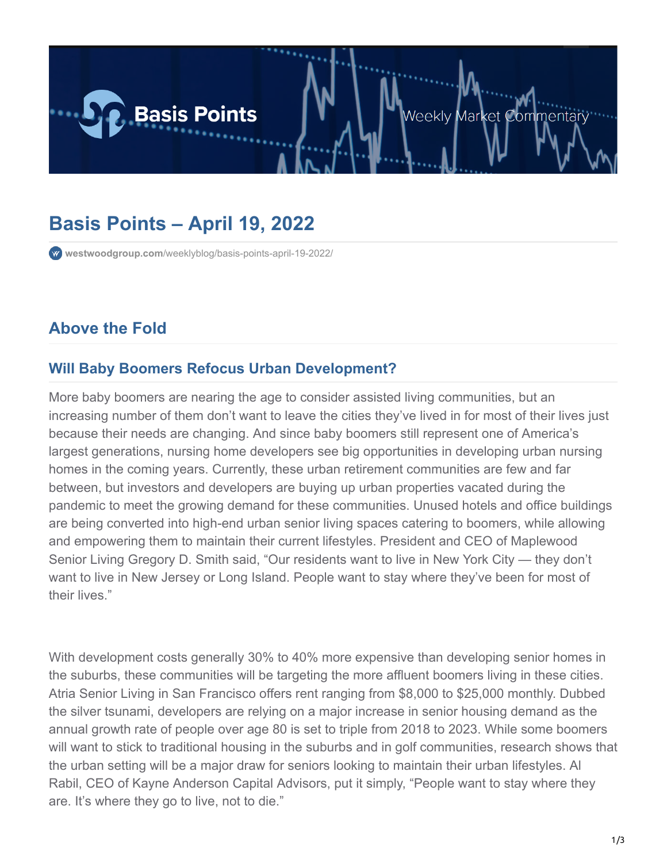

# **Basis Points – April 19, 2022**

**westwoodgroup.com**[/weeklyblog/basis-points-april-19-2022/](https://westwoodgroup.com/weeklyblog/basis-points-april-19-2022/)

# **Above the Fold**

#### **Will Baby Boomers Refocus Urban Development?**

More baby boomers are nearing the age to consider assisted living communities, but an increasing number of them don't want to leave the cities they've lived in for most of their lives just because their needs are changing. And since baby boomers still represent one of America's largest generations, nursing home developers see big opportunities in developing urban nursing homes in the coming years. Currently, these urban retirement communities are few and far between, but investors and developers are buying up urban properties vacated during the pandemic to meet the growing demand for these communities. Unused hotels and office buildings are being converted into high-end urban senior living spaces catering to boomers, while allowing and empowering them to maintain their current lifestyles. President and CEO of Maplewood Senior Living Gregory D. Smith said, "Our residents want to live in New York City — they don't want to live in New Jersey or Long Island. People want to stay where they've been for most of their lives."

With development costs generally 30% to 40% more expensive than developing senior homes in the suburbs, these communities will be targeting the more affluent boomers living in these cities. Atria Senior Living in San Francisco offers rent ranging from \$8,000 to \$25,000 monthly. Dubbed the silver tsunami, developers are relying on a major increase in senior housing demand as the annual growth rate of people over age 80 is set to triple from 2018 to 2023. While some boomers will want to stick to traditional housing in the suburbs and in golf communities, research shows that the urban setting will be a major draw for seniors looking to maintain their urban lifestyles. Al Rabil, CEO of Kayne Anderson Capital Advisors, put it simply, "People want to stay where they are. It's where they go to live, not to die."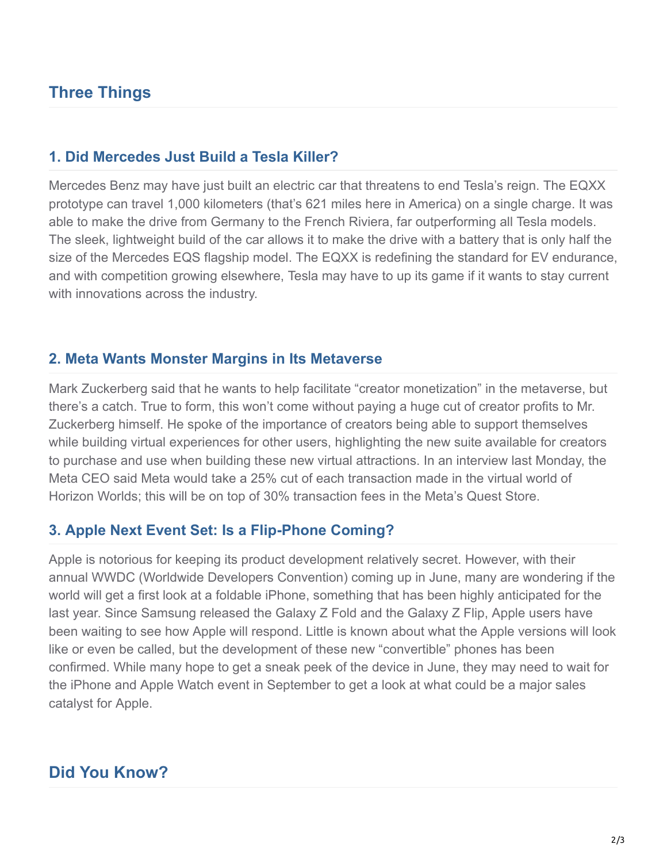## **Three Things**

#### **1. Did Mercedes Just Build a Tesla Killer?**

Mercedes Benz may have just built an electric car that threatens to end Tesla's reign. The EQXX prototype can travel 1,000 kilometers (that's 621 miles here in America) on a single charge. It was able to make the drive from Germany to the French Riviera, far outperforming all Tesla models. The sleek, lightweight build of the car allows it to make the drive with a battery that is only half the size of the Mercedes EQS flagship model. The EQXX is redefining the standard for EV endurance, and with competition growing elsewhere, Tesla may have to up its game if it wants to stay current with innovations across the industry.

#### **2. Meta Wants Monster Margins in Its Metaverse**

Mark Zuckerberg said that he wants to help facilitate "creator monetization" in the metaverse, but there's a catch. True to form, this won't come without paying a huge cut of creator profits to Mr. Zuckerberg himself. He spoke of the importance of creators being able to support themselves while building virtual experiences for other users, highlighting the new suite available for creators to purchase and use when building these new virtual attractions. In an interview last Monday, the Meta CEO said Meta would take a 25% cut of each transaction made in the virtual world of Horizon Worlds; this will be on top of 30% transaction fees in the Meta's Quest Store.

#### **3. Apple Next Event Set: Is a Flip-Phone Coming?**

Apple is notorious for keeping its product development relatively secret. However, with their annual WWDC (Worldwide Developers Convention) coming up in June, many are wondering if the world will get a first look at a foldable iPhone, something that has been highly anticipated for the last year. Since Samsung released the Galaxy Z Fold and the Galaxy Z Flip, Apple users have been waiting to see how Apple will respond. Little is known about what the Apple versions will look like or even be called, but the development of these new "convertible" phones has been confirmed. While many hope to get a sneak peek of the device in June, they may need to wait for the iPhone and Apple Watch event in September to get a look at what could be a major sales catalyst for Apple.

### **Did You Know?**